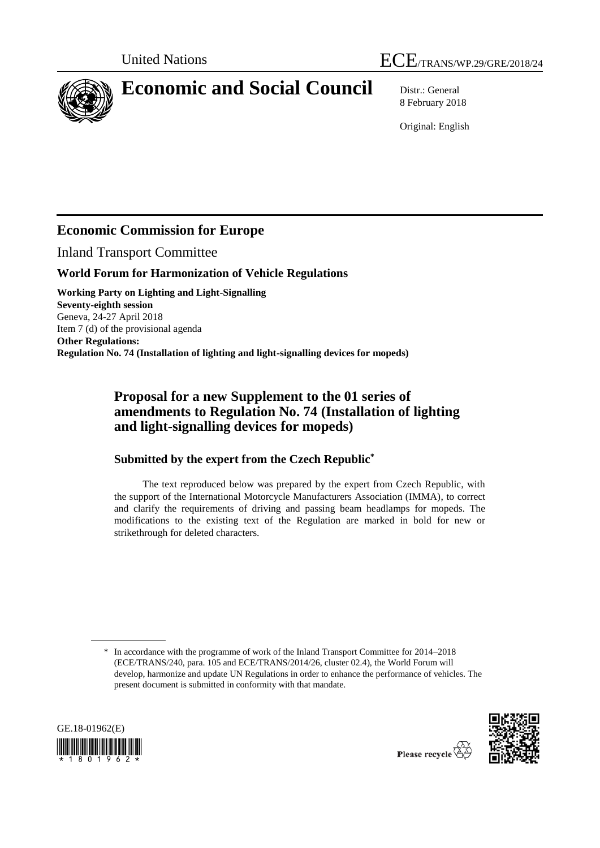



# **Economic and Social Council** Distr.: General

8 February 2018

Original: English

# **Economic Commission for Europe**

Inland Transport Committee

### **World Forum for Harmonization of Vehicle Regulations**

**Working Party on Lighting and Light-Signalling Seventy-eighth session** Geneva, 24-27 April 2018 Item 7 (d) of the provisional agenda **Other Regulations: Regulation No. 74 (Installation of lighting and light-signalling devices for mopeds)** 

## **Proposal for a new Supplement to the 01 series of amendments to Regulation No. 74 (Installation of lighting and light-signalling devices for mopeds)**

### **Submitted by the expert from the Czech Republic\***

The text reproduced below was prepared by the expert from Czech Republic, with the support of the International Motorcycle Manufacturers Association (IMMA), to correct and clarify the requirements of driving and passing beam headlamps for mopeds. The modifications to the existing text of the Regulation are marked in bold for new or strikethrough for deleted characters.

<sup>\*</sup> In accordance with the programme of work of the Inland Transport Committee for 2014–2018 (ECE/TRANS/240, para. 105 and ECE/TRANS/2014/26, cluster 02.4), the World Forum will develop, harmonize and update UN Regulations in order to enhance the performance of vehicles. The present document is submitted in conformity with that mandate.





Please recycle  $\check{\mathfrak{C}}$